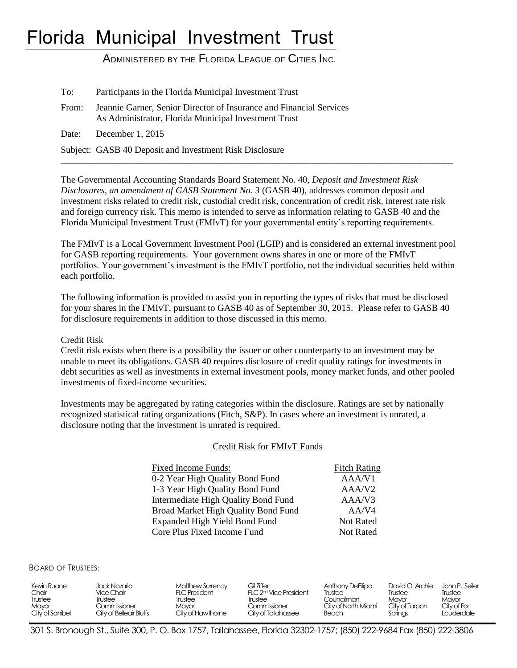# Florida Municipal Investment Trust

ADMINISTERED BY THE FLORIDA LEAGUE OF CITIES INC.

| To:   | Participants in the Florida Municipal Investment Trust                                                                      |
|-------|-----------------------------------------------------------------------------------------------------------------------------|
| From: | Jeannie Garner, Senior Director of Insurance and Financial Services<br>As Administrator, Florida Municipal Investment Trust |
|       | Date: December 1, 2015                                                                                                      |
|       | Subject: GASB 40 Deposit and Investment Risk Disclosure                                                                     |

The Governmental Accounting Standards Board Statement No. 40, *Deposit and Investment Risk Disclosures, an amendment of GASB Statement No. 3* (GASB 40), addresses common deposit and investment risks related to credit risk, custodial credit risk, concentration of credit risk, interest rate risk and foreign currency risk. This memo is intended to serve as information relating to GASB 40 and the Florida Municipal Investment Trust (FMIvT) for your governmental entity's reporting requirements.

 $\overline{a_1}$  ,  $\overline{a_2}$  ,  $\overline{a_3}$  ,  $\overline{a_4}$  ,  $\overline{a_5}$  ,  $\overline{a_6}$  ,  $\overline{a_7}$  ,  $\overline{a_8}$  ,  $\overline{a_9}$  ,  $\overline{a_9}$  ,  $\overline{a_9}$  ,  $\overline{a_9}$  ,  $\overline{a_9}$  ,  $\overline{a_9}$  ,  $\overline{a_9}$  ,  $\overline{a_9}$  ,  $\overline{a_9}$  ,

The FMIvT is a Local Government Investment Pool (LGIP) and is considered an external investment pool for GASB reporting requirements. Your government owns shares in one or more of the FMIvT portfolios. Your government's investment is the FMIvT portfolio, not the individual securities held within each portfolio.

The following information is provided to assist you in reporting the types of risks that must be disclosed for your shares in the FMIvT, pursuant to GASB 40 as of September 30, 2015. Please refer to GASB 40 for disclosure requirements in addition to those discussed in this memo.

#### Credit Risk

Credit risk exists when there is a possibility the issuer or other counterparty to an investment may be unable to meet its obligations. GASB 40 requires disclosure of credit quality ratings for investments in debt securities as well as investments in external investment pools, money market funds, and other pooled investments of fixed-income securities.

Investments may be aggregated by rating categories within the disclosure. Ratings are set by nationally recognized statistical rating organizations (Fitch, S&P). In cases where an investment is unrated, a disclosure noting that the investment is unrated is required.

#### Credit Risk for FMIvT Funds

| <b>Fixed Income Funds:</b>          | <b>Fitch Rating</b> |
|-------------------------------------|---------------------|
| 0-2 Year High Quality Bond Fund     | AAA/V1              |
| 1-3 Year High Quality Bond Fund     | AAA/V <sub>2</sub>  |
| Intermediate High Quality Bond Fund | AAA/V3              |
| Broad Market High Quality Bond Fund | AA/V4               |
| Expanded High Yield Bond Fund       | <b>Not Rated</b>    |
| Core Plus Fixed Income Fund         | <b>Not Rated</b>    |
|                                     |                     |

BOARD OF TRUSTEES:

| Kevin Ruane<br>Jack Nazario .<br>Chair<br>Vice Chair<br>Trustee<br>Trustee<br>Commissioner<br>Mayor<br>City of Sanibel<br>City of Belleair Bluffs | Gil Ziffer<br>Matthew Surrency<br>FLC 2 <sup>nd</sup> Vice President<br><b>FLC President</b><br>Trustee<br>Trustee<br>Commissioner<br>Mavor<br>City of Hawthome<br>City of Tallahassee | Anthony DeFillipo<br>Trustee<br>Councilman<br>City of North Miami<br>Beach | David O. Archie<br>Trustee<br>Mavor<br>City of Tarpon<br>Springs | John P. Seiler<br>Trustee<br>Mayor<br>City of Fort<br>Lauderdale |
|---------------------------------------------------------------------------------------------------------------------------------------------------|----------------------------------------------------------------------------------------------------------------------------------------------------------------------------------------|----------------------------------------------------------------------------|------------------------------------------------------------------|------------------------------------------------------------------|
|---------------------------------------------------------------------------------------------------------------------------------------------------|----------------------------------------------------------------------------------------------------------------------------------------------------------------------------------------|----------------------------------------------------------------------------|------------------------------------------------------------------|------------------------------------------------------------------|

301 S. Bronough St., Suite 300, P. O. Box 1757, Tallahassee, Florida 32302-1757; (850) 222-9684 Fax (850) 222-3806